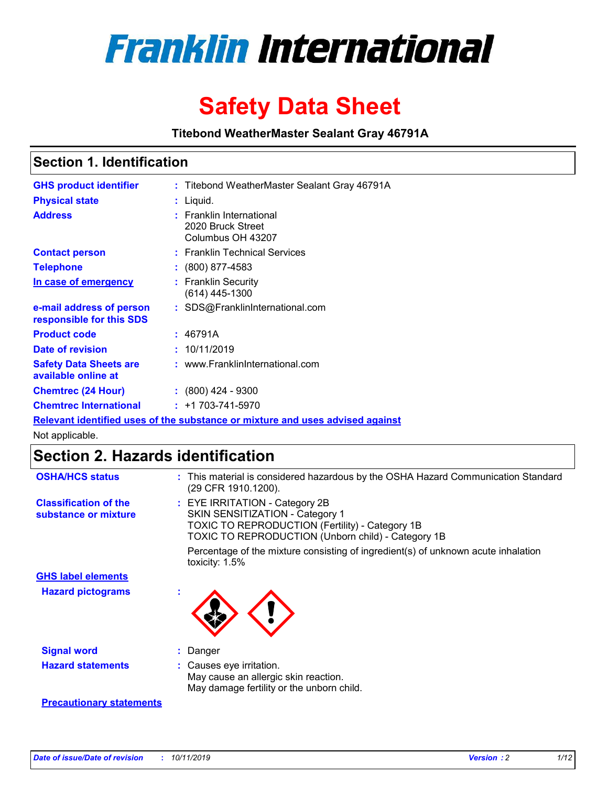

# **Safety Data Sheet**

**Titebond WeatherMaster Sealant Gray 46791A**

### **Section 1. Identification**

| <b>GHS product identifier</b>                        | : Titebond WeatherMaster Sealant Gray 46791A                                  |
|------------------------------------------------------|-------------------------------------------------------------------------------|
| <b>Physical state</b>                                | : Liquid.                                                                     |
| <b>Address</b>                                       | : Franklin International<br>2020 Bruck Street<br>Columbus OH 43207            |
| <b>Contact person</b>                                | : Franklin Technical Services                                                 |
| <b>Telephone</b>                                     | $\colon$ (800) 877-4583                                                       |
| In case of emergency                                 | : Franklin Security<br>(614) 445-1300                                         |
| e-mail address of person<br>responsible for this SDS | : SDS@FranklinInternational.com                                               |
| <b>Product code</b>                                  | : 46791A                                                                      |
| Date of revision                                     | : 10/11/2019                                                                  |
| <b>Safety Data Sheets are</b><br>available online at | : www.FranklinInternational.com                                               |
| <b>Chemtrec (24 Hour)</b>                            | $\div$ (800) 424 - 9300                                                       |
| <b>Chemtrec International</b>                        | $: +1703 - 741 - 5970$                                                        |
|                                                      | Relevant identified uses of the substance or mixture and uses advised against |

Not applicable.

## **Section 2. Hazards identification**

| <b>OSHA/HCS status</b>                               | : This material is considered hazardous by the OSHA Hazard Communication Standard<br>(29 CFR 1910.1200).                                                                          |
|------------------------------------------------------|-----------------------------------------------------------------------------------------------------------------------------------------------------------------------------------|
| <b>Classification of the</b><br>substance or mixture | : EYE IRRITATION - Category 2B<br>SKIN SENSITIZATION - Category 1<br><b>TOXIC TO REPRODUCTION (Fertility) - Category 1B</b><br>TOXIC TO REPRODUCTION (Unborn child) - Category 1B |
|                                                      | Percentage of the mixture consisting of ingredient(s) of unknown acute inhalation<br>toxicity: $1.5\%$                                                                            |
| <b>GHS label elements</b>                            |                                                                                                                                                                                   |
| <b>Hazard pictograms</b>                             |                                                                                                                                                                                   |
| <b>Signal word</b>                                   | : Danger                                                                                                                                                                          |
| <b>Hazard statements</b>                             | : Causes eye irritation.<br>May cause an allergic skin reaction.<br>May damage fertility or the unborn child.                                                                     |
| <b>Precautionary statements</b>                      |                                                                                                                                                                                   |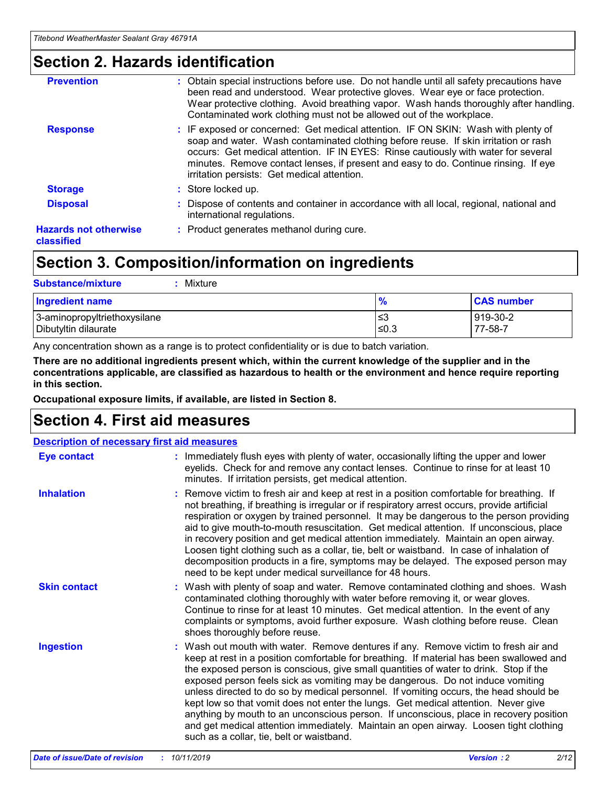### **Section 2. Hazards identification**

| <b>Prevention</b>                          | : Obtain special instructions before use. Do not handle until all safety precautions have<br>been read and understood. Wear protective gloves. Wear eye or face protection.<br>Wear protective clothing. Avoid breathing vapor. Wash hands thoroughly after handling.<br>Contaminated work clothing must not be allowed out of the workplace.                                                        |
|--------------------------------------------|------------------------------------------------------------------------------------------------------------------------------------------------------------------------------------------------------------------------------------------------------------------------------------------------------------------------------------------------------------------------------------------------------|
| <b>Response</b>                            | : IF exposed or concerned: Get medical attention. IF ON SKIN: Wash with plenty of<br>soap and water. Wash contaminated clothing before reuse. If skin irritation or rash<br>occurs: Get medical attention. IF IN EYES: Rinse cautiously with water for several<br>minutes. Remove contact lenses, if present and easy to do. Continue rinsing. If eye<br>irritation persists: Get medical attention. |
| <b>Storage</b>                             | : Store locked up.                                                                                                                                                                                                                                                                                                                                                                                   |
| <b>Disposal</b>                            | : Dispose of contents and container in accordance with all local, regional, national and<br>international regulations.                                                                                                                                                                                                                                                                               |
| <b>Hazards not otherwise</b><br>classified | : Product generates methanol during cure.                                                                                                                                                                                                                                                                                                                                                            |
|                                            |                                                                                                                                                                                                                                                                                                                                                                                                      |

## **Section 3. Composition/information on ingredients**

| <b>Substance/mixture</b><br>: Mixture                |               |                     |
|------------------------------------------------------|---------------|---------------------|
| Ingredient name                                      | $\frac{9}{6}$ | <b>CAS number</b>   |
| 3-aminopropyltriethoxysilane<br>Dibutyltin dilaurate | צ≥<br>≤0.3    | 919-30-2<br>77-58-7 |

Any concentration shown as a range is to protect confidentiality or is due to batch variation.

**There are no additional ingredients present which, within the current knowledge of the supplier and in the concentrations applicable, are classified as hazardous to health or the environment and hence require reporting in this section.**

**Occupational exposure limits, if available, are listed in Section 8.**

### **Section 4. First aid measures**

| <b>Description of necessary first aid measures</b> |                                                                                                                                                                                                                                                                                                                                                                                                                                                                                                                                                                                                                                                                                                                                                                           |  |  |  |
|----------------------------------------------------|---------------------------------------------------------------------------------------------------------------------------------------------------------------------------------------------------------------------------------------------------------------------------------------------------------------------------------------------------------------------------------------------------------------------------------------------------------------------------------------------------------------------------------------------------------------------------------------------------------------------------------------------------------------------------------------------------------------------------------------------------------------------------|--|--|--|
| <b>Eye contact</b>                                 | : Immediately flush eyes with plenty of water, occasionally lifting the upper and lower<br>eyelids. Check for and remove any contact lenses. Continue to rinse for at least 10<br>minutes. If irritation persists, get medical attention.                                                                                                                                                                                                                                                                                                                                                                                                                                                                                                                                 |  |  |  |
| <b>Inhalation</b>                                  | : Remove victim to fresh air and keep at rest in a position comfortable for breathing. If<br>not breathing, if breathing is irregular or if respiratory arrest occurs, provide artificial<br>respiration or oxygen by trained personnel. It may be dangerous to the person providing<br>aid to give mouth-to-mouth resuscitation. Get medical attention. If unconscious, place<br>in recovery position and get medical attention immediately. Maintain an open airway.<br>Loosen tight clothing such as a collar, tie, belt or waistband. In case of inhalation of<br>decomposition products in a fire, symptoms may be delayed. The exposed person may<br>need to be kept under medical surveillance for 48 hours.                                                       |  |  |  |
| <b>Skin contact</b>                                | : Wash with plenty of soap and water. Remove contaminated clothing and shoes. Wash<br>contaminated clothing thoroughly with water before removing it, or wear gloves.<br>Continue to rinse for at least 10 minutes. Get medical attention. In the event of any<br>complaints or symptoms, avoid further exposure. Wash clothing before reuse. Clean<br>shoes thoroughly before reuse.                                                                                                                                                                                                                                                                                                                                                                                     |  |  |  |
| <b>Ingestion</b>                                   | : Wash out mouth with water. Remove dentures if any. Remove victim to fresh air and<br>keep at rest in a position comfortable for breathing. If material has been swallowed and<br>the exposed person is conscious, give small quantities of water to drink. Stop if the<br>exposed person feels sick as vomiting may be dangerous. Do not induce vomiting<br>unless directed to do so by medical personnel. If vomiting occurs, the head should be<br>kept low so that vomit does not enter the lungs. Get medical attention. Never give<br>anything by mouth to an unconscious person. If unconscious, place in recovery position<br>and get medical attention immediately. Maintain an open airway. Loosen tight clothing<br>such as a collar, tie, belt or waistband. |  |  |  |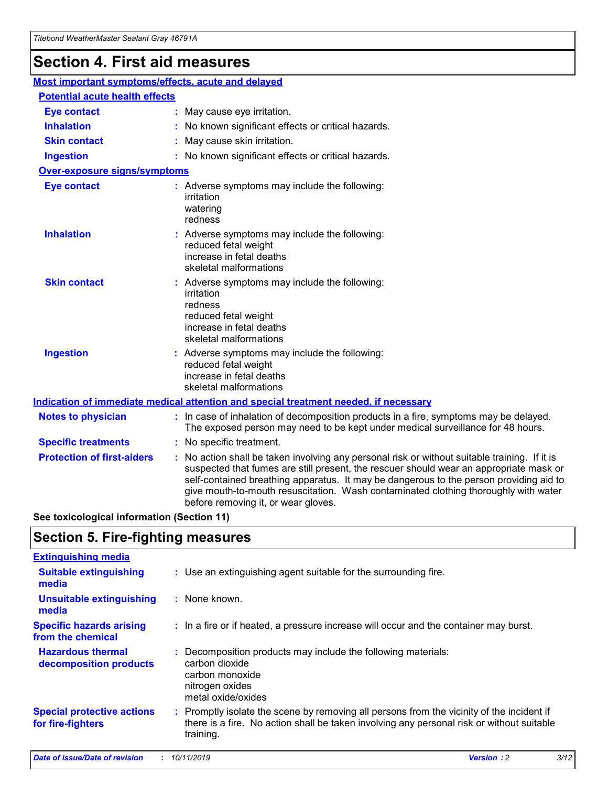## **Section 4. First aid measures**

| Most important symptoms/effects, acute and delayed |                                       |                                                                                                                                                                                                                                                                                                                                                                                                                 |  |  |  |
|----------------------------------------------------|---------------------------------------|-----------------------------------------------------------------------------------------------------------------------------------------------------------------------------------------------------------------------------------------------------------------------------------------------------------------------------------------------------------------------------------------------------------------|--|--|--|
|                                                    | <b>Potential acute health effects</b> |                                                                                                                                                                                                                                                                                                                                                                                                                 |  |  |  |
| <b>Eye contact</b>                                 |                                       | : May cause eye irritation.                                                                                                                                                                                                                                                                                                                                                                                     |  |  |  |
| <b>Inhalation</b>                                  |                                       | : No known significant effects or critical hazards.                                                                                                                                                                                                                                                                                                                                                             |  |  |  |
| <b>Skin contact</b>                                |                                       | : May cause skin irritation.                                                                                                                                                                                                                                                                                                                                                                                    |  |  |  |
| <b>Ingestion</b>                                   |                                       | : No known significant effects or critical hazards.                                                                                                                                                                                                                                                                                                                                                             |  |  |  |
| Over-exposure signs/symptoms                       |                                       |                                                                                                                                                                                                                                                                                                                                                                                                                 |  |  |  |
| <b>Eye contact</b>                                 |                                       | : Adverse symptoms may include the following:<br>irritation<br>watering<br>redness                                                                                                                                                                                                                                                                                                                              |  |  |  |
| <b>Inhalation</b>                                  |                                       | : Adverse symptoms may include the following:<br>reduced fetal weight<br>increase in fetal deaths<br>skeletal malformations                                                                                                                                                                                                                                                                                     |  |  |  |
| <b>Skin contact</b>                                |                                       | : Adverse symptoms may include the following:<br>irritation<br>redness<br>reduced fetal weight<br>increase in fetal deaths<br>skeletal malformations                                                                                                                                                                                                                                                            |  |  |  |
| <b>Ingestion</b>                                   |                                       | : Adverse symptoms may include the following:<br>reduced fetal weight<br>increase in fetal deaths<br>skeletal malformations                                                                                                                                                                                                                                                                                     |  |  |  |
|                                                    |                                       | <b>Indication of immediate medical attention and special treatment needed, if necessary</b>                                                                                                                                                                                                                                                                                                                     |  |  |  |
| <b>Notes to physician</b>                          |                                       | : In case of inhalation of decomposition products in a fire, symptoms may be delayed.<br>The exposed person may need to be kept under medical surveillance for 48 hours.                                                                                                                                                                                                                                        |  |  |  |
| <b>Specific treatments</b>                         |                                       | : No specific treatment.                                                                                                                                                                                                                                                                                                                                                                                        |  |  |  |
| <b>Protection of first-aiders</b>                  |                                       | : No action shall be taken involving any personal risk or without suitable training. If it is<br>suspected that fumes are still present, the rescuer should wear an appropriate mask or<br>self-contained breathing apparatus. It may be dangerous to the person providing aid to<br>give mouth-to-mouth resuscitation. Wash contaminated clothing thoroughly with water<br>before removing it, or wear gloves. |  |  |  |

**See toxicological information (Section 11)**

### **Section 5. Fire-fighting measures**

| <b>Extinguishing media</b>                             |                                                                                                                                                                                                     |
|--------------------------------------------------------|-----------------------------------------------------------------------------------------------------------------------------------------------------------------------------------------------------|
| <b>Suitable extinguishing</b><br>media                 | : Use an extinguishing agent suitable for the surrounding fire.                                                                                                                                     |
| <b>Unsuitable extinguishing</b><br>media               | $:$ None known.                                                                                                                                                                                     |
| <b>Specific hazards arising</b><br>from the chemical   | : In a fire or if heated, a pressure increase will occur and the container may burst.                                                                                                               |
| <b>Hazardous thermal</b><br>decomposition products     | : Decomposition products may include the following materials:<br>carbon dioxide<br>carbon monoxide<br>nitrogen oxides<br>metal oxide/oxides                                                         |
| <b>Special protective actions</b><br>for fire-fighters | : Promptly isolate the scene by removing all persons from the vicinity of the incident if<br>there is a fire. No action shall be taken involving any personal risk or without suitable<br>training. |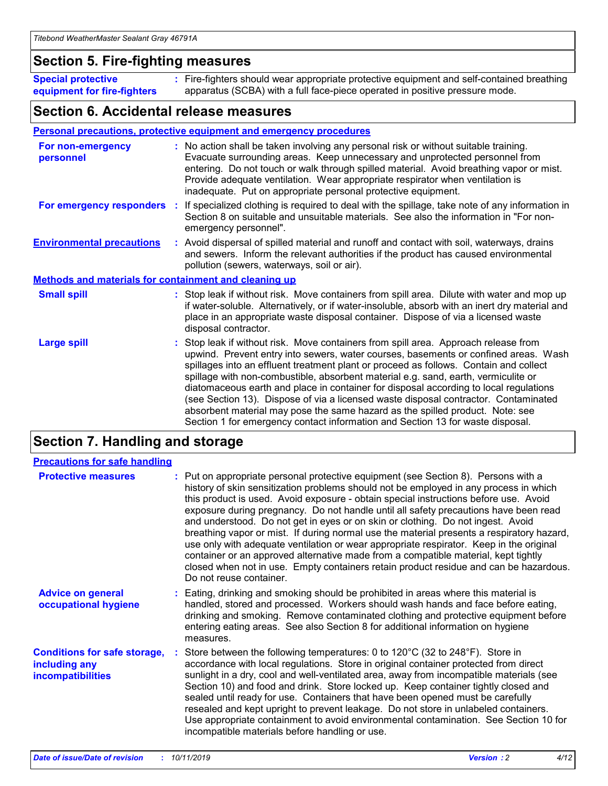### **Section 5. Fire-fighting measures**

**Special protective equipment for fire-fighters** Fire-fighters should wear appropriate protective equipment and self-contained breathing **:** apparatus (SCBA) with a full face-piece operated in positive pressure mode.

### **Section 6. Accidental release measures**

#### **Personal precautions, protective equipment and emergency procedures**

| For non-emergency<br>personnel                               | : No action shall be taken involving any personal risk or without suitable training.<br>Evacuate surrounding areas. Keep unnecessary and unprotected personnel from<br>entering. Do not touch or walk through spilled material. Avoid breathing vapor or mist.<br>Provide adequate ventilation. Wear appropriate respirator when ventilation is<br>inadequate. Put on appropriate personal protective equipment.                                                                                                                                                                                                                                                                                             |
|--------------------------------------------------------------|--------------------------------------------------------------------------------------------------------------------------------------------------------------------------------------------------------------------------------------------------------------------------------------------------------------------------------------------------------------------------------------------------------------------------------------------------------------------------------------------------------------------------------------------------------------------------------------------------------------------------------------------------------------------------------------------------------------|
|                                                              | For emergency responders : If specialized clothing is required to deal with the spillage, take note of any information in<br>Section 8 on suitable and unsuitable materials. See also the information in "For non-<br>emergency personnel".                                                                                                                                                                                                                                                                                                                                                                                                                                                                  |
| <b>Environmental precautions</b>                             | : Avoid dispersal of spilled material and runoff and contact with soil, waterways, drains<br>and sewers. Inform the relevant authorities if the product has caused environmental<br>pollution (sewers, waterways, soil or air).                                                                                                                                                                                                                                                                                                                                                                                                                                                                              |
| <b>Methods and materials for containment and cleaning up</b> |                                                                                                                                                                                                                                                                                                                                                                                                                                                                                                                                                                                                                                                                                                              |
| <b>Small spill</b>                                           | : Stop leak if without risk. Move containers from spill area. Dilute with water and mop up<br>if water-soluble. Alternatively, or if water-insoluble, absorb with an inert dry material and<br>place in an appropriate waste disposal container. Dispose of via a licensed waste<br>disposal contractor.                                                                                                                                                                                                                                                                                                                                                                                                     |
| <b>Large spill</b>                                           | : Stop leak if without risk. Move containers from spill area. Approach release from<br>upwind. Prevent entry into sewers, water courses, basements or confined areas. Wash<br>spillages into an effluent treatment plant or proceed as follows. Contain and collect<br>spillage with non-combustible, absorbent material e.g. sand, earth, vermiculite or<br>diatomaceous earth and place in container for disposal according to local regulations<br>(see Section 13). Dispose of via a licensed waste disposal contractor. Contaminated<br>absorbent material may pose the same hazard as the spilled product. Note: see<br>Section 1 for emergency contact information and Section 13 for waste disposal. |

### **Section 7. Handling and storage**

| <b>Precautions for safe handling</b>                                             |                                                                                                                                                                                                                                                                                                                                                                                                                                                                                                                                                                                                                                                                                                                                                                                                                                                  |
|----------------------------------------------------------------------------------|--------------------------------------------------------------------------------------------------------------------------------------------------------------------------------------------------------------------------------------------------------------------------------------------------------------------------------------------------------------------------------------------------------------------------------------------------------------------------------------------------------------------------------------------------------------------------------------------------------------------------------------------------------------------------------------------------------------------------------------------------------------------------------------------------------------------------------------------------|
| <b>Protective measures</b>                                                       | : Put on appropriate personal protective equipment (see Section 8). Persons with a<br>history of skin sensitization problems should not be employed in any process in which<br>this product is used. Avoid exposure - obtain special instructions before use. Avoid<br>exposure during pregnancy. Do not handle until all safety precautions have been read<br>and understood. Do not get in eyes or on skin or clothing. Do not ingest. Avoid<br>breathing vapor or mist. If during normal use the material presents a respiratory hazard,<br>use only with adequate ventilation or wear appropriate respirator. Keep in the original<br>container or an approved alternative made from a compatible material, kept tightly<br>closed when not in use. Empty containers retain product residue and can be hazardous.<br>Do not reuse container. |
| <b>Advice on general</b><br>occupational hygiene                                 | : Eating, drinking and smoking should be prohibited in areas where this material is<br>handled, stored and processed. Workers should wash hands and face before eating,<br>drinking and smoking. Remove contaminated clothing and protective equipment before<br>entering eating areas. See also Section 8 for additional information on hygiene<br>measures.                                                                                                                                                                                                                                                                                                                                                                                                                                                                                    |
| <b>Conditions for safe storage,</b><br>including any<br><b>incompatibilities</b> | Store between the following temperatures: 0 to 120°C (32 to 248°F). Store in<br>accordance with local regulations. Store in original container protected from direct<br>sunlight in a dry, cool and well-ventilated area, away from incompatible materials (see<br>Section 10) and food and drink. Store locked up. Keep container tightly closed and<br>sealed until ready for use. Containers that have been opened must be carefully<br>resealed and kept upright to prevent leakage. Do not store in unlabeled containers.<br>Use appropriate containment to avoid environmental contamination. See Section 10 for<br>incompatible materials before handling or use.                                                                                                                                                                         |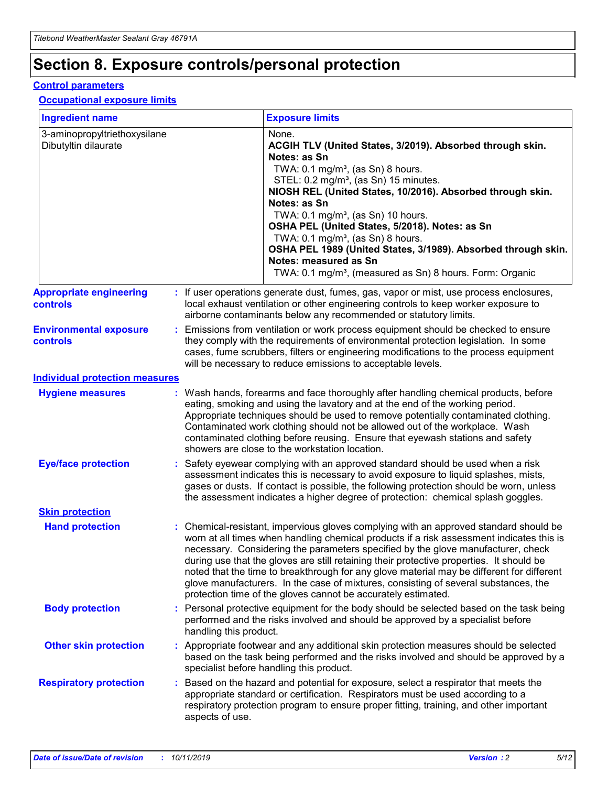## **Section 8. Exposure controls/personal protection**

#### **Control parameters**

#### **Occupational exposure limits**

| <b>Ingredient name</b>                               |    |                        | <b>Exposure limits</b>                                                                                                                                                                                                                                                                                                                                                                                                                                                                                                                                                                                                 |
|------------------------------------------------------|----|------------------------|------------------------------------------------------------------------------------------------------------------------------------------------------------------------------------------------------------------------------------------------------------------------------------------------------------------------------------------------------------------------------------------------------------------------------------------------------------------------------------------------------------------------------------------------------------------------------------------------------------------------|
| 3-aminopropyltriethoxysilane<br>Dibutyltin dilaurate |    |                        | None.<br>ACGIH TLV (United States, 3/2019). Absorbed through skin.<br>Notes: as Sn<br>TWA: $0.1 \text{ mg/m}^3$ , (as Sn) 8 hours.<br>STEL: 0.2 mg/m <sup>3</sup> , (as Sn) 15 minutes.<br>NIOSH REL (United States, 10/2016). Absorbed through skin.<br>Notes: as Sn<br>TWA: 0.1 mg/m <sup>3</sup> , (as Sn) 10 hours.<br>OSHA PEL (United States, 5/2018). Notes: as Sn<br>TWA: $0.1 \text{ mg/m}^3$ , (as Sn) 8 hours.<br>OSHA PEL 1989 (United States, 3/1989). Absorbed through skin.<br>Notes: measured as Sn<br>TWA: 0.1 mg/m <sup>3</sup> , (measured as Sn) 8 hours. Form: Organic                            |
| <b>Appropriate engineering</b><br>controls           |    |                        | : If user operations generate dust, fumes, gas, vapor or mist, use process enclosures,<br>local exhaust ventilation or other engineering controls to keep worker exposure to<br>airborne contaminants below any recommended or statutory limits.                                                                                                                                                                                                                                                                                                                                                                       |
| <b>Environmental exposure</b><br>controls            |    |                        | Emissions from ventilation or work process equipment should be checked to ensure<br>they comply with the requirements of environmental protection legislation. In some<br>cases, fume scrubbers, filters or engineering modifications to the process equipment<br>will be necessary to reduce emissions to acceptable levels.                                                                                                                                                                                                                                                                                          |
| <b>Individual protection measures</b>                |    |                        |                                                                                                                                                                                                                                                                                                                                                                                                                                                                                                                                                                                                                        |
| <b>Hygiene measures</b>                              |    |                        | : Wash hands, forearms and face thoroughly after handling chemical products, before<br>eating, smoking and using the lavatory and at the end of the working period.<br>Appropriate techniques should be used to remove potentially contaminated clothing.<br>Contaminated work clothing should not be allowed out of the workplace. Wash<br>contaminated clothing before reusing. Ensure that eyewash stations and safety<br>showers are close to the workstation location.                                                                                                                                            |
| <b>Eye/face protection</b>                           |    |                        | : Safety eyewear complying with an approved standard should be used when a risk<br>assessment indicates this is necessary to avoid exposure to liquid splashes, mists,<br>gases or dusts. If contact is possible, the following protection should be worn, unless<br>the assessment indicates a higher degree of protection: chemical splash goggles.                                                                                                                                                                                                                                                                  |
| <b>Skin protection</b>                               |    |                        |                                                                                                                                                                                                                                                                                                                                                                                                                                                                                                                                                                                                                        |
| <b>Hand protection</b>                               |    |                        | : Chemical-resistant, impervious gloves complying with an approved standard should be<br>worn at all times when handling chemical products if a risk assessment indicates this is<br>necessary. Considering the parameters specified by the glove manufacturer, check<br>during use that the gloves are still retaining their protective properties. It should be<br>noted that the time to breakthrough for any glove material may be different for different<br>glove manufacturers. In the case of mixtures, consisting of several substances, the<br>protection time of the gloves cannot be accurately estimated. |
| <b>Body protection</b>                               |    | handling this product. | Personal protective equipment for the body should be selected based on the task being<br>performed and the risks involved and should be approved by a specialist before                                                                                                                                                                                                                                                                                                                                                                                                                                                |
| <b>Other skin protection</b>                         |    |                        | : Appropriate footwear and any additional skin protection measures should be selected<br>based on the task being performed and the risks involved and should be approved by a<br>specialist before handling this product.                                                                                                                                                                                                                                                                                                                                                                                              |
| <b>Respiratory protection</b>                        | ÷. | aspects of use.        | Based on the hazard and potential for exposure, select a respirator that meets the<br>appropriate standard or certification. Respirators must be used according to a<br>respiratory protection program to ensure proper fitting, training, and other important                                                                                                                                                                                                                                                                                                                                                         |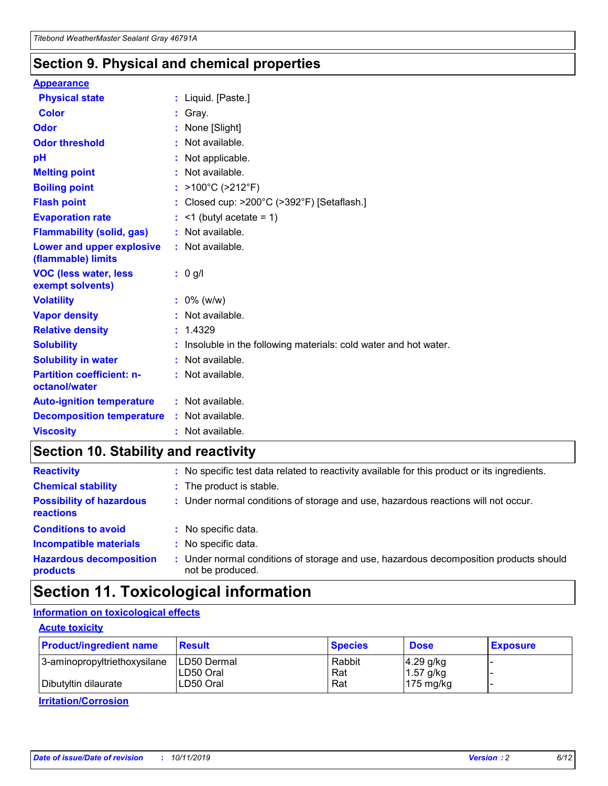### **Section 9. Physical and chemical properties**

#### **Appearance**

| <b>Physical state</b>                             | : Liquid. [Paste.]                                                |
|---------------------------------------------------|-------------------------------------------------------------------|
| Color                                             | Gray.                                                             |
| Odor                                              | None [Slight]                                                     |
| <b>Odor threshold</b>                             | : Not available.                                                  |
| рH                                                | : Not applicable.                                                 |
| <b>Melting point</b>                              | : Not available.                                                  |
| <b>Boiling point</b>                              | : $>100^{\circ}$ C ( $>212^{\circ}$ F)                            |
| <b>Flash point</b>                                | : Closed cup: $>200^{\circ}$ C ( $>392^{\circ}$ F) [Setaflash.]   |
| <b>Evaporation rate</b>                           | $:$ <1 (butyl acetate = 1)                                        |
| <b>Flammability (solid, gas)</b>                  | : Not available.                                                  |
| Lower and upper explosive<br>(flammable) limits   | : Not available.                                                  |
| <b>VOC (less water, less</b><br>exempt solvents)  | $: 0$ g/l                                                         |
| <b>Volatility</b>                                 | $: 0\%$ (w/w)                                                     |
| <b>Vapor density</b>                              | : Not available.                                                  |
| <b>Relative density</b>                           | : 1.4329                                                          |
| <b>Solubility</b>                                 | : Insoluble in the following materials: cold water and hot water. |
| <b>Solubility in water</b>                        | : Not available.                                                  |
| <b>Partition coefficient: n-</b><br>octanol/water | : Not available.                                                  |
| <b>Auto-ignition temperature</b>                  | $:$ Not available.                                                |
| <b>Decomposition temperature</b>                  | : Not available.                                                  |
| <b>Viscosity</b>                                  | : Not available.                                                  |

### **Section 10. Stability and reactivity**

| <b>Reactivity</b>                            |    | : No specific test data related to reactivity available for this product or its ingredients.            |
|----------------------------------------------|----|---------------------------------------------------------------------------------------------------------|
| <b>Chemical stability</b>                    |    | : The product is stable.                                                                                |
| <b>Possibility of hazardous</b><br>reactions |    | : Under normal conditions of storage and use, hazardous reactions will not occur.                       |
| <b>Conditions to avoid</b>                   |    | : No specific data.                                                                                     |
| <b>Incompatible materials</b>                | ٠. | No specific data.                                                                                       |
| <b>Hazardous decomposition</b><br>products   | ÷. | Under normal conditions of storage and use, hazardous decomposition products should<br>not be produced. |

## **Section 11. Toxicological information**

### **Information on toxicological effects**

#### **Acute toxicity**

| <b>Product/ingredient name</b> | <b>Result</b>           | <b>Species</b> | <b>Dose</b>                | <b>Exposure</b> |
|--------------------------------|-------------------------|----------------|----------------------------|-----------------|
| 3-aminopropyltriethoxysilane   | <b>ILD50 Dermal</b>     | Rabbit         | 4.29 g/kg                  |                 |
| Dibutyltin dilaurate           | ILD50 Oral<br>LD50 Oral | Rat<br>Rat     | $1.57$ g/kg<br>175 $mg/kg$ |                 |
|                                |                         |                |                            |                 |

**Irritation/Corrosion**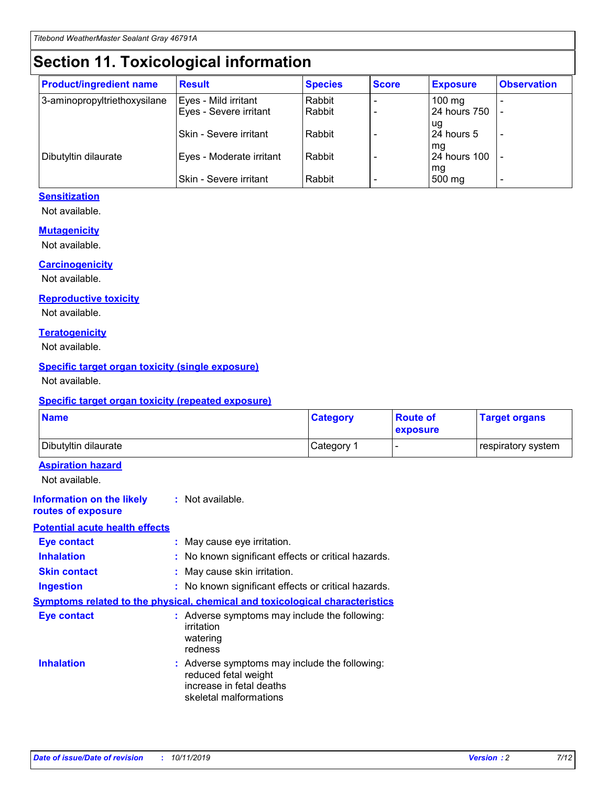## **Section 11. Toxicological information**

| <b>Product/ingredient name</b> | <b>Result</b>            | <b>Species</b> | <b>Score</b> | <b>Exposure</b>           | <b>Observation</b> |
|--------------------------------|--------------------------|----------------|--------------|---------------------------|--------------------|
| 3-aminopropyltriethoxysilane   | Eyes - Mild irritant     | Rabbit         |              | $100$ mg                  |                    |
|                                | Eyes - Severe irritant   | Rabbit         |              | 24 hours 750              |                    |
|                                |                          |                |              | ug                        |                    |
|                                | Skin - Severe irritant   | Rabbit         |              | 24 hours 5                | -                  |
| Dibutyltin dilaurate           | Eyes - Moderate irritant | Rabbit         |              | mg<br><b>24 hours 100</b> |                    |
|                                |                          |                |              | mg                        |                    |
|                                | Skin - Severe irritant   | Rabbit         |              | 500 mg                    | -                  |

#### **Sensitization**

Not available.

#### **Mutagenicity**

Not available.

#### **Carcinogenicity**

Not available.

#### **Reproductive toxicity**

Not available.

#### **Teratogenicity**

Not available.

#### **Specific target organ toxicity (single exposure)**

Not available.

#### **Specific target organ toxicity (repeated exposure)**

| <b>Name</b>                                                                  |                                                                            | <b>Category</b>                                     | <b>Route of</b><br>exposure | <b>Target organs</b> |
|------------------------------------------------------------------------------|----------------------------------------------------------------------------|-----------------------------------------------------|-----------------------------|----------------------|
| Dibutyltin dilaurate                                                         |                                                                            | Category 1                                          | -                           | respiratory system   |
| <b>Aspiration hazard</b><br>Not available.                                   |                                                                            |                                                     |                             |                      |
| <b>Information on the likely</b><br>routes of exposure                       | : Not available.                                                           |                                                     |                             |                      |
| <b>Potential acute health effects</b>                                        |                                                                            |                                                     |                             |                      |
| <b>Eye contact</b>                                                           | : May cause eye irritation.                                                |                                                     |                             |                      |
| <b>Inhalation</b>                                                            |                                                                            | : No known significant effects or critical hazards. |                             |                      |
| <b>Skin contact</b>                                                          | : May cause skin irritation.                                               |                                                     |                             |                      |
| <b>Ingestion</b>                                                             |                                                                            | : No known significant effects or critical hazards. |                             |                      |
| Symptoms related to the physical, chemical and toxicological characteristics |                                                                            |                                                     |                             |                      |
| <b>Eye contact</b>                                                           | irritation<br>watering<br>redness                                          | : Adverse symptoms may include the following:       |                             |                      |
| <b>Inhalation</b>                                                            | reduced fetal weight<br>increase in fetal deaths<br>skeletal malformations | : Adverse symptoms may include the following:       |                             |                      |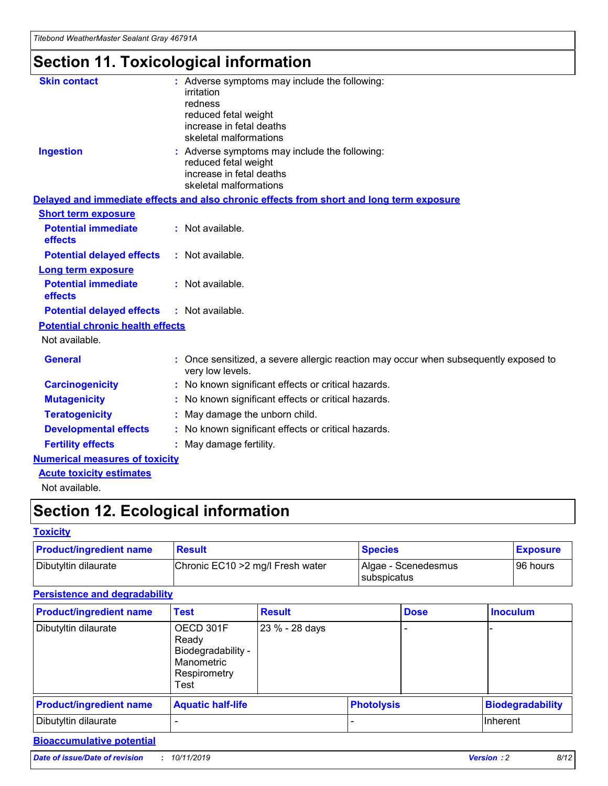# **Section 11. Toxicological information**

| <b>Skin contact</b>                     | : Adverse symptoms may include the following:<br>irritation<br>redness<br>reduced fetal weight<br>increase in fetal deaths<br>skeletal malformations |
|-----------------------------------------|------------------------------------------------------------------------------------------------------------------------------------------------------|
| <b>Ingestion</b>                        | : Adverse symptoms may include the following:<br>reduced fetal weight<br>increase in fetal deaths<br>skeletal malformations                          |
|                                         | Delayed and immediate effects and also chronic effects from short and long term exposure                                                             |
| <b>Short term exposure</b>              |                                                                                                                                                      |
| <b>Potential immediate</b><br>effects   | : Not available.                                                                                                                                     |
| <b>Potential delayed effects</b>        | : Not available.                                                                                                                                     |
| <b>Long term exposure</b>               |                                                                                                                                                      |
| <b>Potential immediate</b><br>effects   | : Not available.                                                                                                                                     |
| <b>Potential delayed effects</b>        | : Not available.                                                                                                                                     |
| <b>Potential chronic health effects</b> |                                                                                                                                                      |
| Not available.                          |                                                                                                                                                      |
| <b>General</b>                          | : Once sensitized, a severe allergic reaction may occur when subsequently exposed to<br>very low levels.                                             |
| <b>Carcinogenicity</b>                  | : No known significant effects or critical hazards.                                                                                                  |
| <b>Mutagenicity</b>                     | No known significant effects or critical hazards.                                                                                                    |
| <b>Teratogenicity</b>                   | May damage the unborn child.                                                                                                                         |
| <b>Developmental effects</b>            | No known significant effects or critical hazards.                                                                                                    |
| <b>Fertility effects</b>                | : May damage fertility.                                                                                                                              |
| <b>Numerical measures of toxicity</b>   |                                                                                                                                                      |
| <b>Acute toxicity estimates</b>         |                                                                                                                                                      |
|                                         |                                                                                                                                                      |

Not available.

## **Section 12. Ecological information**

#### **Toxicity**

| <b>Product/ingredient name</b> | <b>Result</b>                     | <b>Species</b>                       | <b>Exposure</b> |
|--------------------------------|-----------------------------------|--------------------------------------|-----------------|
| Dibutyltin dilaurate           | Chronic EC10 > 2 mg/l Fresh water | Algae - Scenedesmus<br>I subspicatus | l 96 hours i    |

### **Persistence and degradability**

| <b>Product/ingredient name</b> | <b>Test</b>                                                                    | <b>Result</b>  |                   | <b>Dose</b> | <b>Inoculum</b>         |
|--------------------------------|--------------------------------------------------------------------------------|----------------|-------------------|-------------|-------------------------|
| Dibutyltin dilaurate           | OECD 301F<br>Ready<br>Biodegradability -<br>Manometric<br>Respirometry<br>Test | 23 % - 28 days |                   |             |                         |
| <b>Product/ingredient name</b> | <b>Aquatic half-life</b>                                                       |                | <b>Photolysis</b> |             | <b>Biodegradability</b> |
| Dibutyltin dilaurate           |                                                                                |                |                   |             | Inherent                |

### **Bioaccumulative potential**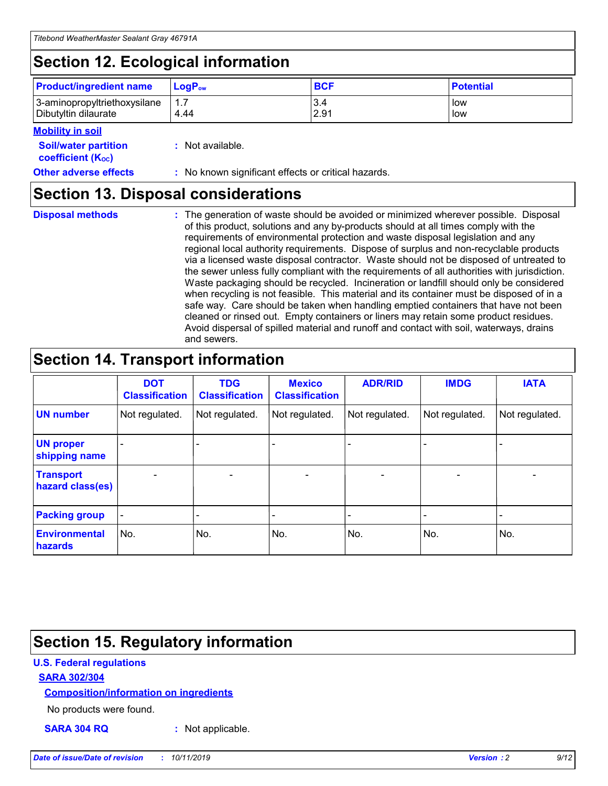## **Section 12. Ecological information**

| <b>Product/ingredient name</b> | $LoaPow$ | <b>BCF</b> | <b>Potential</b> |
|--------------------------------|----------|------------|------------------|
| 3-aminopropyltriethoxysilane   | 1.7      | 3.4        | low              |
| Dibutyltin dilaurate           | 4.44     | 2.91       | low              |

#### **Mobility in soil**

| <b>Soil/water partition</b><br>coefficient (K <sub>oc</sub> ) | : Not available.                                    |
|---------------------------------------------------------------|-----------------------------------------------------|
| <b>Other adverse effects</b>                                  | : No known significant effects or critical hazards. |

### **Section 13. Disposal considerations**

**Disposal methods :**

The generation of waste should be avoided or minimized wherever possible. Disposal of this product, solutions and any by-products should at all times comply with the requirements of environmental protection and waste disposal legislation and any regional local authority requirements. Dispose of surplus and non-recyclable products via a licensed waste disposal contractor. Waste should not be disposed of untreated to the sewer unless fully compliant with the requirements of all authorities with jurisdiction. Waste packaging should be recycled. Incineration or landfill should only be considered when recycling is not feasible. This material and its container must be disposed of in a safe way. Care should be taken when handling emptied containers that have not been cleaned or rinsed out. Empty containers or liners may retain some product residues. Avoid dispersal of spilled material and runoff and contact with soil, waterways, drains and sewers.

## **Section 14. Transport information**

|                                      | <b>DOT</b><br><b>Classification</b> | <b>TDG</b><br><b>Classification</b> | <b>Mexico</b><br><b>Classification</b> | <b>ADR/RID</b> | <b>IMDG</b>              | <b>IATA</b>              |
|--------------------------------------|-------------------------------------|-------------------------------------|----------------------------------------|----------------|--------------------------|--------------------------|
| <b>UN number</b>                     | Not regulated.                      | Not regulated.                      | Not regulated.                         | Not regulated. | Not regulated.           | Not regulated.           |
| <b>UN proper</b><br>shipping name    | $\blacksquare$                      |                                     |                                        |                |                          |                          |
| <b>Transport</b><br>hazard class(es) | $\blacksquare$                      | $\overline{\phantom{a}}$            | $\blacksquare$                         | $\blacksquare$ | $\overline{\phantom{a}}$ | $\blacksquare$           |
| <b>Packing group</b>                 | $\overline{\phantom{a}}$            | $\overline{\phantom{0}}$            | $\overline{\phantom{a}}$               | -              | $\overline{\phantom{0}}$ | $\overline{\phantom{a}}$ |
| <b>Environmental</b><br>hazards      | No.                                 | No.                                 | No.                                    | No.            | No.                      | No.                      |

## **Section 15. Regulatory information**

#### **U.S. Federal regulations**

#### **SARA 302/304**

#### **Composition/information on ingredients**

No products were found.

**SARA 304 RQ :** Not applicable.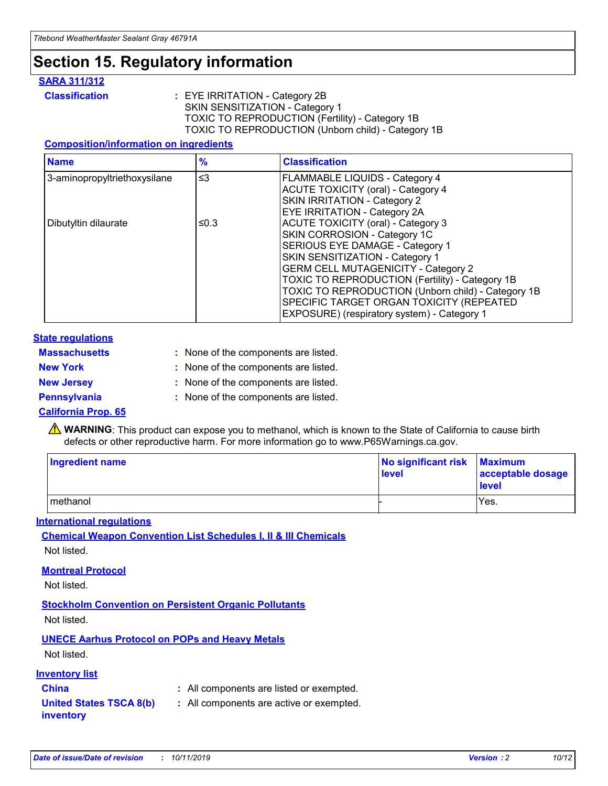## **Section 15. Regulatory information**

#### **SARA 311/312**

**Classification :** EYE IRRITATION - Category 2B SKIN SENSITIZATION - Category 1 TOXIC TO REPRODUCTION (Fertility) - Category 1B TOXIC TO REPRODUCTION (Unborn child) - Category 1B

#### **Composition/information on ingredients**

| <b>Name</b>                  | $\frac{9}{6}$ | <b>Classification</b>                                                                                            |
|------------------------------|---------------|------------------------------------------------------------------------------------------------------------------|
| 3-aminopropyltriethoxysilane | $\leq$ 3      | <b>FLAMMABLE LIQUIDS - Category 4</b><br><b>ACUTE TOXICITY (oral) - Category 4</b>                               |
|                              |               | SKIN IRRITATION - Category 2<br>EYE IRRITATION - Category 2A                                                     |
| Dibutyltin dilaurate         | ≤0.3          | ACUTE TOXICITY (oral) - Category 3<br>SKIN CORROSION - Category 1C                                               |
|                              |               | SERIOUS EYE DAMAGE - Category 1<br>SKIN SENSITIZATION - Category 1<br><b>GERM CELL MUTAGENICITY - Category 2</b> |
|                              |               | TOXIC TO REPRODUCTION (Fertility) - Category 1B<br>TOXIC TO REPRODUCTION (Unborn child) - Category 1B            |
|                              |               | SPECIFIC TARGET ORGAN TOXICITY (REPEATED<br>EXPOSURE) (respiratory system) - Category 1                          |

#### **State regulations**

| <b>Massachusetts</b> | : None of the components are listed. |
|----------------------|--------------------------------------|
| <b>New York</b>      | : None of the components are listed. |
| <b>New Jersey</b>    | : None of the components are listed. |
| <b>Pennsylvania</b>  | : None of the components are listed. |

#### **California Prop. 65**

**A** WARNING: This product can expose you to methanol, which is known to the State of California to cause birth defects or other reproductive harm. For more information go to www.P65Warnings.ca.gov.

| <b>Ingredient name</b> | No significant risk Maximum<br>level | acceptable dosage<br>level |
|------------------------|--------------------------------------|----------------------------|
| methanol               |                                      | Yes.                       |

#### **International regulations**

**Chemical Weapon Convention List Schedules I, II & III Chemicals** Not listed.

#### **Montreal Protocol**

Not listed.

#### **Stockholm Convention on Persistent Organic Pollutants**

Not listed.

### **UNECE Aarhus Protocol on POPs and Heavy Metals**

Not listed.

#### **Inventory list**

### **China :** All components are listed or exempted.

**United States TSCA 8(b) inventory :** All components are active or exempted.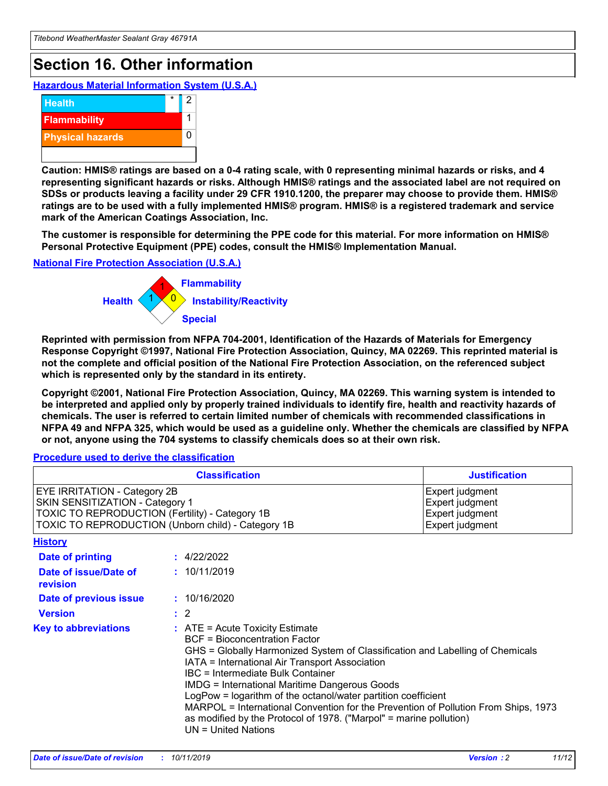## **Section 16. Other information**

**Hazardous Material Information System (U.S.A.)**



**Caution: HMIS® ratings are based on a 0-4 rating scale, with 0 representing minimal hazards or risks, and 4 representing significant hazards or risks. Although HMIS® ratings and the associated label are not required on SDSs or products leaving a facility under 29 CFR 1910.1200, the preparer may choose to provide them. HMIS® ratings are to be used with a fully implemented HMIS® program. HMIS® is a registered trademark and service mark of the American Coatings Association, Inc.**

**The customer is responsible for determining the PPE code for this material. For more information on HMIS® Personal Protective Equipment (PPE) codes, consult the HMIS® Implementation Manual.**

#### **National Fire Protection Association (U.S.A.)**



**Reprinted with permission from NFPA 704-2001, Identification of the Hazards of Materials for Emergency Response Copyright ©1997, National Fire Protection Association, Quincy, MA 02269. This reprinted material is not the complete and official position of the National Fire Protection Association, on the referenced subject which is represented only by the standard in its entirety.**

**Copyright ©2001, National Fire Protection Association, Quincy, MA 02269. This warning system is intended to be interpreted and applied only by properly trained individuals to identify fire, health and reactivity hazards of chemicals. The user is referred to certain limited number of chemicals with recommended classifications in NFPA 49 and NFPA 325, which would be used as a guideline only. Whether the chemicals are classified by NFPA or not, anyone using the 704 systems to classify chemicals does so at their own risk.**

#### **Procedure used to derive the classification**

| <b>Classification</b>                                                                                                                                                    |                                                                                                                                                                                                                                                                                                                                                                                                                                                                                                                                                               | <b>Justification</b>                                                     |
|--------------------------------------------------------------------------------------------------------------------------------------------------------------------------|---------------------------------------------------------------------------------------------------------------------------------------------------------------------------------------------------------------------------------------------------------------------------------------------------------------------------------------------------------------------------------------------------------------------------------------------------------------------------------------------------------------------------------------------------------------|--------------------------------------------------------------------------|
| EYE IRRITATION - Category 2B<br>SKIN SENSITIZATION - Category 1<br>TOXIC TO REPRODUCTION (Fertility) - Category 1B<br>TOXIC TO REPRODUCTION (Unborn child) - Category 1B |                                                                                                                                                                                                                                                                                                                                                                                                                                                                                                                                                               | Expert judgment<br>Expert judgment<br>Expert judgment<br>Expert judgment |
| <b>History</b>                                                                                                                                                           |                                                                                                                                                                                                                                                                                                                                                                                                                                                                                                                                                               |                                                                          |
| Date of printing                                                                                                                                                         | : 4/22/2022                                                                                                                                                                                                                                                                                                                                                                                                                                                                                                                                                   |                                                                          |
| Date of issue/Date of<br>revision                                                                                                                                        | : 10/11/2019                                                                                                                                                                                                                                                                                                                                                                                                                                                                                                                                                  |                                                                          |
| Date of previous issue                                                                                                                                                   | : 10/16/2020                                                                                                                                                                                                                                                                                                                                                                                                                                                                                                                                                  |                                                                          |
| <b>Version</b>                                                                                                                                                           | $\therefore$ 2                                                                                                                                                                                                                                                                                                                                                                                                                                                                                                                                                |                                                                          |
| <b>Key to abbreviations</b>                                                                                                                                              | $:$ ATE = Acute Toxicity Estimate<br><b>BCF</b> = Bioconcentration Factor<br>GHS = Globally Harmonized System of Classification and Labelling of Chemicals<br>IATA = International Air Transport Association<br>IBC = Intermediate Bulk Container<br><b>IMDG = International Maritime Dangerous Goods</b><br>LogPow = logarithm of the octanol/water partition coefficient<br>MARPOL = International Convention for the Prevention of Pollution From Ships, 1973<br>as modified by the Protocol of 1978. ("Marpol" = marine pollution)<br>UN = United Nations |                                                                          |